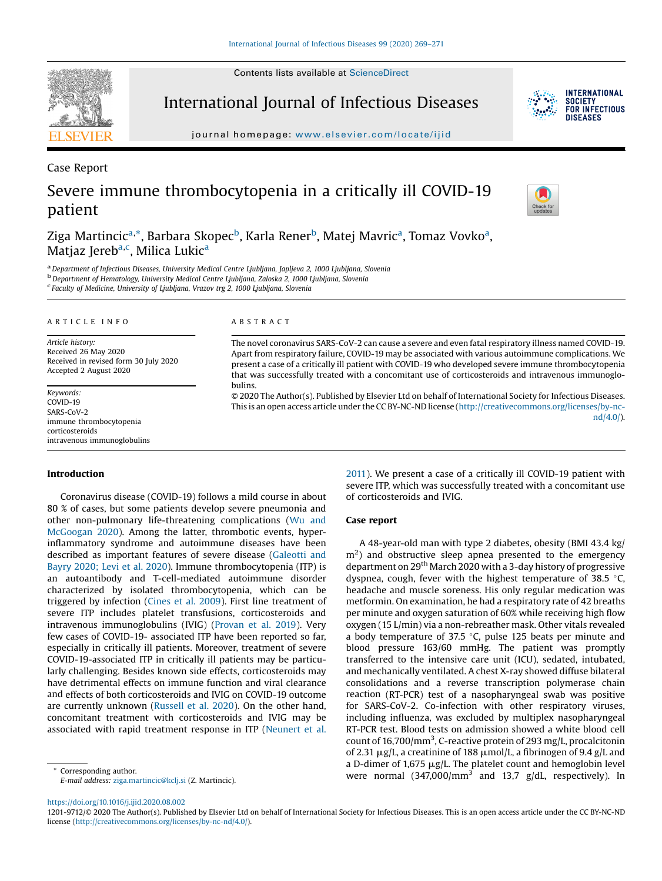Contents lists available at ScienceDirect

International Journal of Infectious Diseases

journal homepage: www.elsevier.com/locate/ijid

Severe immune thrombocytopenia in a critically ill COVID-19 patient

Ziga Martincic<sup>a,</sup>\*, Barbara Skopec<sup>b</sup>, Karla Rener<sup>b</sup>, Matej Mavric<sup>a</sup>, Tomaz Vovko<sup>a</sup>, Matjaz Jereb<sup>a,c</sup>, Milica Lukic<sup>a</sup>

A B S T R A C T

bulins.

a Department of Infectious Diseases, University Medical Centre Ljubljana, Japljeva 2, 1000 Ljubljana, Slovenia<br><sup>b</sup> Department of Hematology, University Medical Centre Ljubljana, Zaloska 2, 1000 Ljubljana, Slovenia Faculty of Medicine, University of Ljubljana, Vrazov trg 2, 1000 Ljubljana, Slovenia

A R T I C L E I N F O

Article history: Received 26 May 2020 Received in revised form 30 July 2020 Accepted 2 August 2020

Keywords: COVID-19 SARS-CoV-2 immune thrombocytopenia corticosteroids intravenous immunoglobulins

# Introduction

Coronavirus disease (COVID-19) follows a mild course in about 80 % of cases, but some patients develop severe pneumonia and other non-pulmonary life-threatening complications (Wu and McGoogan 2020). Among the latter, thrombotic events, hyperinflammatory syndrome and autoimmune diseases have been described as important features of severe disease (Galeotti and Bayry 2020; Levi et al. 2020). Immune thrombocytopenia (ITP) is an autoantibody and T-cell-mediated autoimmune disorder characterized by isolated thrombocytopenia, which can be triggered by infection (Cines et al. 2009). First line treatment of severe ITP includes platelet transfusions, corticosteroids and intravenous immunoglobulins (IVIG) (Provan et al. 2019). Very few cases of COVID-19- associated ITP have been reported so far, especially in critically ill patients. Moreover, treatment of severe COVID-19-associated ITP in critically ill patients may be particularly challenging. Besides known side effects, corticosteroids may have detrimental effects on immune function and viral clearance and effects of both corticosteroids and IVIG on COVID-19 outcome are currently unknown (Russell et al. 2020). On the other hand, concomitant treatment with corticosteroids and IVIG may be associated with rapid treatment response in ITP (Neunert et al.

E-mail address: ziga.martincic@kclj.si (Z. Martincic).

2011). We present a case of a critically ill COVID-19 patient with severe ITP, which was successfully treated with a concomitant use of corticosteroids and IVIG.

The novel coronavirus SARS-CoV-2 can cause a severe and even fatal respiratory illness named COVID-19. Apart from respiratory failure, COVID-19 may be associated with various autoimmune complications. We present a case of a critically ill patient with COVID-19 who developed severe immune thrombocytopenia that was successfully treated with a concomitant use of corticosteroids and intravenous immunoglo-

© 2020 The Author(s). Published by Elsevier Ltd on behalf of International Society for Infectious Diseases. This is an open access article under the CC BY-NC-ND license (http://creativecommons.org/licenses/by-nc-

#### Case report

A 48-year-old man with type 2 diabetes, obesity (BMI 43.4 kg/  $\rm m^2$ ) and obstructive sleep apnea presented to the emergency department on 29<sup>th</sup> March 2020 with a 3-day history of progressive dyspnea, cough, fever with the highest temperature of 38.5  $\degree$ C, headache and muscle soreness. His only regular medication was metformin. On examination, he had a respiratory rate of 42 breaths per minute and oxygen saturation of 60% while receiving high flow oxygen (15 L/min) via a non-rebreather mask. Other vitals revealed a body temperature of 37.5  $\degree$ C, pulse 125 beats per minute and blood pressure 163/60 mmHg. The patient was promptly transferred to the intensive care unit (ICU), sedated, intubated, and mechanically ventilated. A chest X-ray showed diffuse bilateral consolidations and a reverse transcription polymerase chain reaction (RT-PCR) test of a nasopharyngeal swab was positive for SARS-CoV-2. Co-infection with other respiratory viruses, including influenza, was excluded by multiplex nasopharyngeal RT-PCR test. Blood tests on admission showed a white blood cell count of 16,700/mm<sup>3</sup>, C-reactive protein of 293 mg/L, procalcitonin of 2.31  $\mu$ g/L, a creatinine of 188  $\mu$ mol/L, a fibrinogen of 9.4 g/L and a D-dimer of  $1,675 \mu g/L$ . The platelet count and hemoglobin level Corresponding author.<br>
E mail of draws airs marting Clerkini (3. Martingia) were normal (347,000/mm<sup>3</sup> and 13,7 g/dL, respectively). In

https://doi.org/10.1016/j.ijid.2020.08.002



Case Report



nd/4.0/).



<sup>1201-9712/©</sup> 2020 The Author(s). Published by Elsevier Ltd on behalf of International Society for Infectious Diseases. This is an open access article under the CC BY-NC-ND license (http://creativecommons.org/licenses/by-nc-nd/4.0/).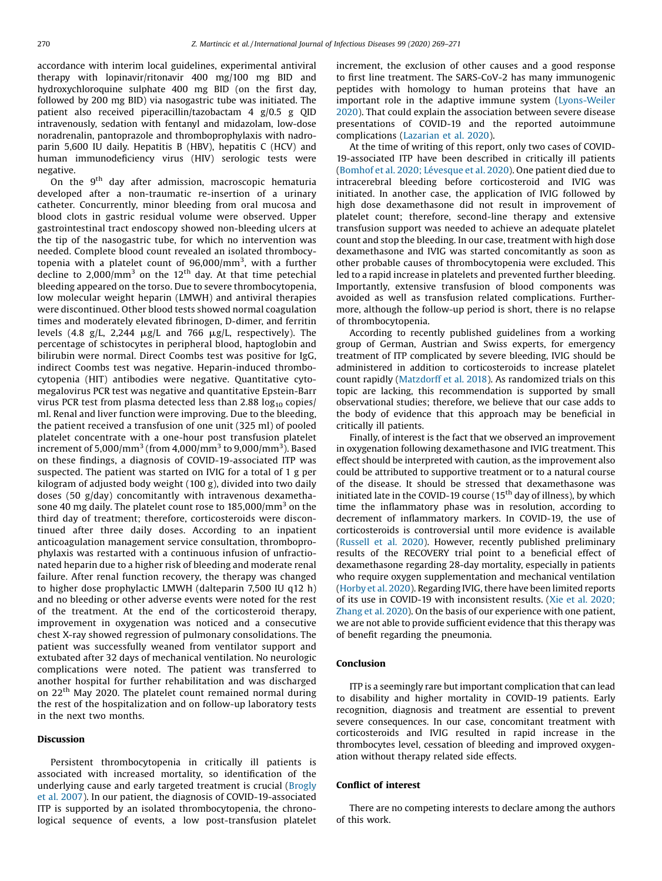accordance with interim local guidelines, experimental antiviral therapy with lopinavir/ritonavir 400 mg/100 mg BID and hydroxychloroquine sulphate 400 mg BID (on the first day, followed by 200 mg BID) via nasogastric tube was initiated. The patient also received piperacillin/tazobactam 4 g/0.5 g QID intravenously, sedation with fentanyl and midazolam, low-dose noradrenalin, pantoprazole and thromboprophylaxis with nadroparin 5,600 IU daily. Hepatitis B (HBV), hepatitis C (HCV) and human immunodeficiency virus (HIV) serologic tests were negative.

On the  $9<sup>th</sup>$  day after admission, macroscopic hematuria developed after a non-traumatic re-insertion of a urinary catheter. Concurrently, minor bleeding from oral mucosa and blood clots in gastric residual volume were observed. Upper gastrointestinal tract endoscopy showed non-bleeding ulcers at the tip of the nasogastric tube, for which no intervention was needed. Complete blood count revealed an isolated thrombocytopenia with a platelet count of 96,000/mm<sup>3</sup>, with a further decline to 2,000/mm<sup>3</sup> on the 12<sup>th</sup> day. At that time petechial bleeding appeared on the torso. Due to severe thrombocytopenia, low molecular weight heparin (LMWH) and antiviral therapies were discontinued. Other blood tests showed normal coagulation times and moderately elevated fibrinogen, D-dimer, and ferritin levels (4.8 g/L, 2,244  $\mu$ g/L and 766  $\mu$ g/L, respectively). The percentage of schistocytes in peripheral blood, haptoglobin and bilirubin were normal. Direct Coombs test was positive for IgG, indirect Coombs test was negative. Heparin-induced thrombocytopenia (HIT) antibodies were negative. Quantitative cytomegalovirus PCR test was negative and quantitative Epstein-Barr virus PCR test from plasma detected less than 2.88  $log_{10}$  copies/ ml. Renal and liver function were improving. Due to the bleeding, the patient received a transfusion of one unit (325 ml) of pooled platelet concentrate with a one-hour post transfusion platelet increment of 5,000/mm $^3$  (from 4,000/mm $^3$  to 9,000/mm $^3$ ). Based on these findings, a diagnosis of COVID-19-associated ITP was suspected. The patient was started on IVIG for a total of 1 g per kilogram of adjusted body weight (100 g), divided into two daily doses (50 g/day) concomitantly with intravenous dexamethasone 40 mg daily. The platelet count rose to  $185,000/\text{mm}^3$  on the third day of treatment; therefore, corticosteroids were discontinued after three daily doses. According to an inpatient anticoagulation management service consultation, thromboprophylaxis was restarted with a continuous infusion of unfractionated heparin due to a higher risk of bleeding and moderate renal failure. After renal function recovery, the therapy was changed to higher dose prophylactic LMWH (dalteparin 7,500 IU q12 h) and no bleeding or other adverse events were noted for the rest of the treatment. At the end of the corticosteroid therapy, improvement in oxygenation was noticed and a consecutive chest X-ray showed regression of pulmonary consolidations. The patient was successfully weaned from ventilator support and extubated after 32 days of mechanical ventilation. No neurologic complications were noted. The patient was transferred to another hospital for further rehabilitation and was discharged on 22<sup>th</sup> May 2020. The platelet count remained normal during the rest of the hospitalization and on follow-up laboratory tests in the next two months.

# Discussion

Persistent thrombocytopenia in critically ill patients is associated with increased mortality, so identification of the underlying cause and early targeted treatment is crucial (Brogly et al. 2007). In our patient, the diagnosis of COVID-19-associated ITP is supported by an isolated thrombocytopenia, the chronological sequence of events, a low post-transfusion platelet increment, the exclusion of other causes and a good response to first line treatment. The SARS-CoV-2 has many immunogenic peptides with homology to human proteins that have an important role in the adaptive immune system (Lyons-Weiler 2020). That could explain the association between severe disease presentations of COVID-19 and the reported autoimmune complications (Lazarian et al. 2020).

At the time of writing of this report, only two cases of COVID-19-associated ITP have been described in critically ill patients (Bomhof et al. 2020; Lévesque et al. 2020). One patient died due to intracerebral bleeding before corticosteroid and IVIG was initiated. In another case, the application of IVIG followed by high dose dexamethasone did not result in improvement of platelet count; therefore, second-line therapy and extensive transfusion support was needed to achieve an adequate platelet count and stop the bleeding. In our case, treatment with high dose dexamethasone and IVIG was started concomitantly as soon as other probable causes of thrombocytopenia were excluded. This led to a rapid increase in platelets and prevented further bleeding. Importantly, extensive transfusion of blood components was avoided as well as transfusion related complications. Furthermore, although the follow-up period is short, there is no relapse of thrombocytopenia.

According to recently published guidelines from a working group of German, Austrian and Swiss experts, for emergency treatment of ITP complicated by severe bleeding, IVIG should be administered in addition to corticosteroids to increase platelet count rapidly (Matzdorff et al. 2018). As randomized trials on this topic are lacking, this recommendation is supported by small observational studies; therefore, we believe that our case adds to the body of evidence that this approach may be beneficial in critically ill patients.

Finally, of interest is the fact that we observed an improvement in oxygenation following dexamethasone and IVIG treatment. This effect should be interpreted with caution, as the improvement also could be attributed to supportive treatment or to a natural course of the disease. It should be stressed that dexamethasone was initiated late in the COVID-19 course  $(15<sup>th</sup>$  day of illness), by which time the inflammatory phase was in resolution, according to decrement of inflammatory markers. In COVID-19, the use of corticosteroids is controversial until more evidence is available (Russell et al. 2020). However, recently published preliminary results of the RECOVERY trial point to a beneficial effect of dexamethasone regarding 28-day mortality, especially in patients who require oxygen supplementation and mechanical ventilation (Horby et al. 2020). Regarding IVIG, there have been limited reports of its use in COVID-19 with inconsistent results. (Xie et al. 2020; Zhang et al. 2020). On the basis of our experience with one patient, we are not able to provide sufficient evidence that this therapy was of benefit regarding the pneumonia.

# Conclusion

ITP is a seemingly rare but important complication that can lead to disability and higher mortality in COVID-19 patients. Early recognition, diagnosis and treatment are essential to prevent severe consequences. In our case, concomitant treatment with corticosteroids and IVIG resulted in rapid increase in the thrombocytes level, cessation of bleeding and improved oxygenation without therapy related side effects.

#### Conflict of interest

There are no competing interests to declare among the authors of this work.